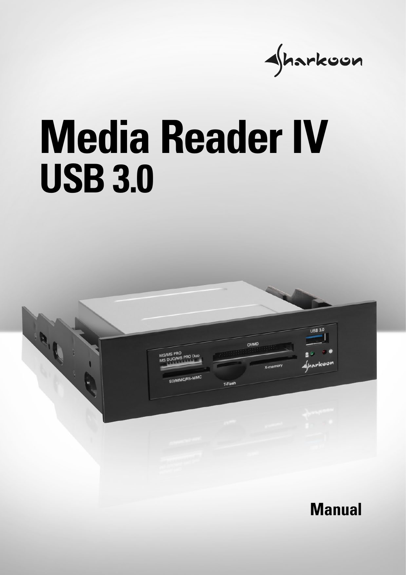

# **Media Reader IV USB 3.0**

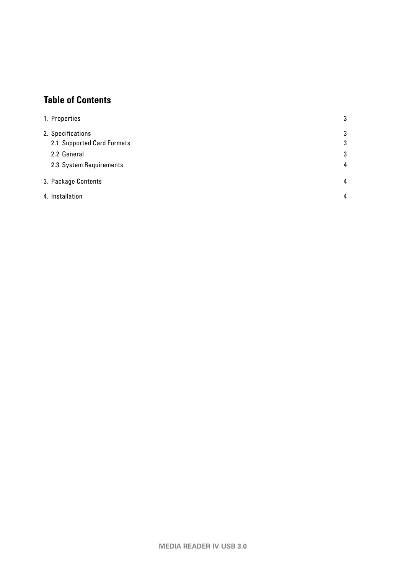# **Table of Contents**

| 1. Properties                                   | 3      |
|-------------------------------------------------|--------|
| 2. Specifications<br>2.1 Supported Card Formats | 3<br>3 |
| 2.2 General                                     | 3      |
| 2.3 System Requirements                         | 4      |
| 3. Package Contents                             | 4      |
| 4. Installation                                 | 4      |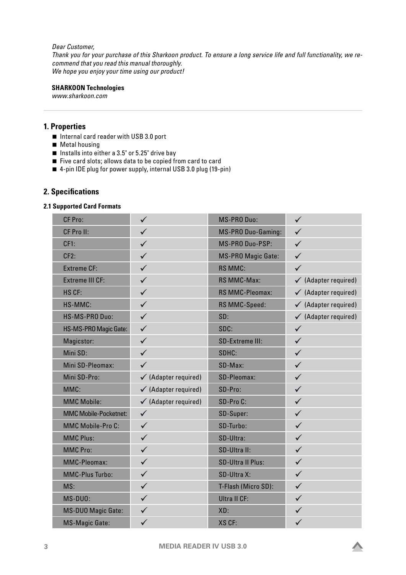#### *Dear Customer,*

*Thank you for your purchase of this Sharkoon product. To ensure a long service life and full functionality, we recommend that you read this manual thoroughly. We hope you enjoy your time using our product!*

#### **SHARKOON Technologies**

*www.sharkoon.com*

# <span id="page-2-0"></span>**1. Properties**

- Internal card reader with USB 3.0 port
- **Metal housing**
- Installs into either a  $3.5$ " or  $5.25$ " drive bay
- $\blacksquare$  Five card slots; allows data to be copied from card to card
- 4-pin IDE plug for power supply, internal USB 3.0 plug (19-pin)

# <span id="page-2-1"></span>**2. Specifications**

#### <span id="page-2-2"></span>**2.1 Supported Card Formats**

| CF Pro:                      | $\checkmark$                    | MS-PRO Duo:               | $\checkmark$                    |
|------------------------------|---------------------------------|---------------------------|---------------------------------|
| CF Pro II:                   | $\checkmark$                    | <b>MS-PRO Duo-Gaming:</b> | $\checkmark$                    |
| CF1:                         | $\checkmark$                    | MS-PRO Duo-PSP:           | $\checkmark$                    |
| CF2:                         | $\checkmark$                    | <b>MS-PRO Magic Gate:</b> | $\checkmark$                    |
| <b>Extreme CF:</b>           | $\checkmark$                    | <b>RS MMC:</b>            | $\checkmark$                    |
| <b>Extreme III CF:</b>       | $\checkmark$                    | RS MMC-Max:               | $\checkmark$ (Adapter required) |
| HS CF:                       | $\checkmark$                    | <b>RS MMC-Pleomax:</b>    | $\checkmark$ (Adapter required) |
| HS-MMC:                      | $\checkmark$                    | RS MMC-Speed:             | $\checkmark$ (Adapter required) |
| HS-MS-PRO Duo:               | $\checkmark$                    | SD:                       | $\checkmark$ (Adapter required) |
| HS-MS-PRO Magic Gate:        | $\checkmark$                    | SDC:                      | $\checkmark$                    |
| Magicstor:                   | $\checkmark$                    | <b>SD-Extreme III:</b>    | $\checkmark$                    |
| Mini SD:                     | $\checkmark$                    | SDHC:                     | $\checkmark$                    |
| Mini SD-Pleomax:             | $\checkmark$                    | SD-Max:                   | $\checkmark$                    |
| Mini SD-Pro:                 | $\checkmark$ (Adapter required) | SD-Pleomax:               | $\checkmark$                    |
| MMC:                         | $\checkmark$ (Adapter required) | SD-Pro:                   | $\checkmark$                    |
| <b>MMC Mobile:</b>           | $\checkmark$ (Adapter required) | SD-Pro C:                 | $\checkmark$                    |
| <b>MMC Mobile-Pocketnet:</b> | $\checkmark$                    | SD-Super:                 | $\checkmark$                    |
| <b>MMC Mobile-Pro C:</b>     | $\checkmark$                    | SD-Turbo:                 | $\checkmark$                    |
| <b>MMC Plus:</b>             | $\checkmark$                    | SD-Ultra:                 | $\checkmark$                    |
| <b>MMC Pro:</b>              | $\checkmark$                    | SD-Ultra II:              | $\checkmark$                    |
| <b>MMC-Pleomax:</b>          | $\checkmark$                    | <b>SD-Ultra II Plus:</b>  | $\checkmark$                    |
| <b>MMC-Plus Turbo:</b>       | $\checkmark$                    | SD-Ultra X:               | $\checkmark$                    |
| MS:                          | $\checkmark$                    | T-Flash (Micro SD):       | $\checkmark$                    |
| MS-DUO:                      | $\checkmark$                    | <b>Ultra II CF:</b>       | $\checkmark$                    |
| <b>MS-DUO Magic Gate:</b>    | $\checkmark$                    | XD:                       | $\checkmark$                    |
| <b>MS-Magic Gate:</b>        | $\checkmark$                    | XS CF:                    | $\checkmark$                    |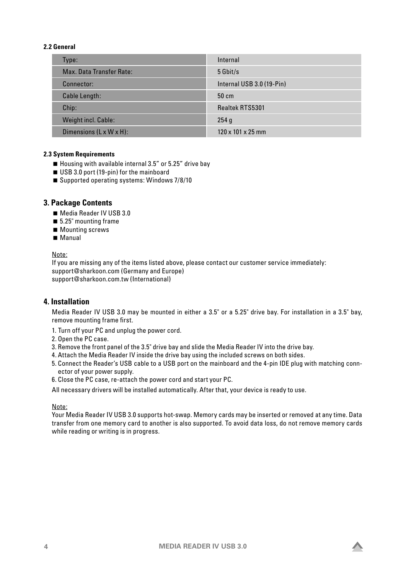#### <span id="page-3-0"></span>**2.2 General**

<span id="page-3-1"></span>

| Type:                    | Internal                      |
|--------------------------|-------------------------------|
| Max. Data Transfer Rate: | 5 Gbit/s                      |
| Connector:               | Internal USB 3.0 (19-Pin)     |
| Cable Length:            | $50 \text{ cm}$               |
| Chip:                    | Realtek RTS5301               |
| Weight incl. Cable:      | 254g                          |
| Dimensions (L x W x H):  | $120 \times 101 \times 25$ mm |

# **2.3 System Requirements**

- Housing with available internal 3.5" or 5.25" drive bay
- USB 3.0 port (19-pin) for the mainboard
- Supported operating systems: Windows 7/8/10

# <span id="page-3-2"></span>**3. Package Contents**

- Media Reader IV USB 3.0
- 5.25" mounting frame
- Mounting screws
- Manual

#### Note:

If you are missing any of the items listed above, please contact our customer service immediately: support@sharkoon.com (Germany and Europe) support@sharkoon.com.tw (International)

# <span id="page-3-3"></span>**4. Installation**

Media Reader IV USB 3.0 may be mounted in either a 3.5" or a 5.25" drive bay. For installation in a 3.5" bay, remove mounting frame first.

- 1. Turn off your PC and unplug the power cord.
- 2. Open the PC case.
- 3. Remove the front panel of the 3.5" drive bay and slide the Media Reader IV into the drive bay.
- 4. Attach the Media Reader IV inside the drive bay using the included screws on both sides.
- 5. Connect the Reader's USB cable to a USB port on the mainboard and the 4-pin IDE plug with matching connector of your power supply.
- 6. Close the PC case, re-attach the power cord and start your PC.

All necessary drivers will be installed automatically. After that, your device is ready to use.

#### Note:

Your Media Reader IV USB 3.0 supports hot-swap. Memory cards may be inserted or removed at any time. Data transfer from one memory card to another is also supported. To avoid data loss, do not remove memory cards while reading or writing is in progress.